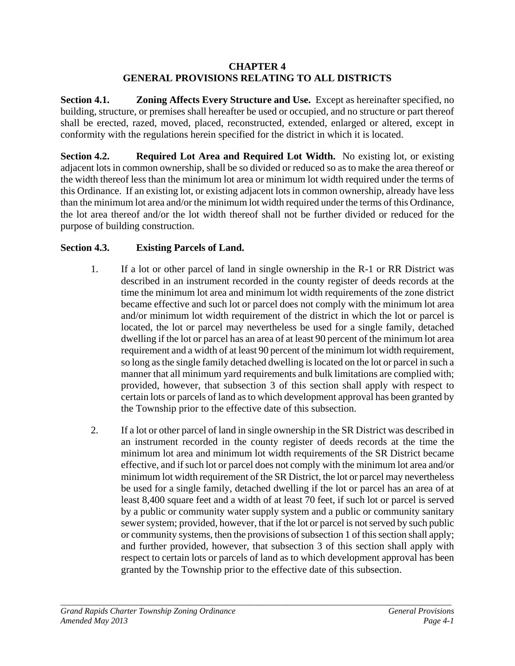#### **CHAPTER 4 GENERAL PROVISIONS RELATING TO ALL DISTRICTS**

**Section 4.1. Zoning Affects Every Structure and Use.** Except as hereinafter specified, no building, structure, or premises shall hereafter be used or occupied, and no structure or part thereof shall be erected, razed, moved, placed, reconstructed, extended, enlarged or altered, except in conformity with the regulations herein specified for the district in which it is located.

**Section 4.2. Required Lot Area and Required Lot Width.** No existing lot, or existing adjacent lots in common ownership, shall be so divided or reduced so as to make the area thereof or the width thereof less than the minimum lot area or minimum lot width required under the terms of this Ordinance. If an existing lot, or existing adjacent lots in common ownership, already have less than the minimum lot area and/or the minimum lot width required under the terms of this Ordinance, the lot area thereof and/or the lot width thereof shall not be further divided or reduced for the purpose of building construction.

# **Section 4.3. Existing Parcels of Land.**

- 1. If a lot or other parcel of land in single ownership in the R-1 or RR District was described in an instrument recorded in the county register of deeds records at the time the minimum lot area and minimum lot width requirements of the zone district became effective and such lot or parcel does not comply with the minimum lot area and/or minimum lot width requirement of the district in which the lot or parcel is located, the lot or parcel may nevertheless be used for a single family, detached dwelling if the lot or parcel has an area of at least 90 percent of the minimum lot area requirement and a width of at least 90 percent of the minimum lot width requirement, so long as the single family detached dwelling is located on the lot or parcel in such a manner that all minimum yard requirements and bulk limitations are complied with; provided, however, that subsection 3 of this section shall apply with respect to certain lots or parcels of land as to which development approval has been granted by the Township prior to the effective date of this subsection.
- 2. If a lot or other parcel of land in single ownership in the SR District was described in an instrument recorded in the county register of deeds records at the time the minimum lot area and minimum lot width requirements of the SR District became effective, and if such lot or parcel does not comply with the minimum lot area and/or minimum lot width requirement of the SR District, the lot or parcel may nevertheless be used for a single family, detached dwelling if the lot or parcel has an area of at least 8,400 square feet and a width of at least 70 feet, if such lot or parcel is served by a public or community water supply system and a public or community sanitary sewer system; provided, however, that if the lot or parcel is not served by such public or community systems, then the provisions of subsection 1 of this section shall apply; and further provided, however, that subsection 3 of this section shall apply with respect to certain lots or parcels of land as to which development approval has been granted by the Township prior to the effective date of this subsection.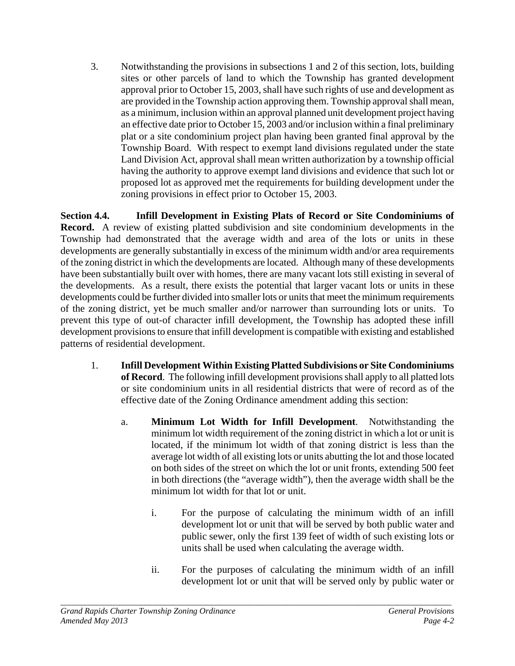3. Notwithstanding the provisions in subsections 1 and 2 of this section, lots, building sites or other parcels of land to which the Township has granted development approval prior to October 15, 2003, shall have such rights of use and development as are provided in the Township action approving them. Township approval shall mean, as a minimum, inclusion within an approval planned unit development project having an effective date prior to October 15, 2003 and/or inclusion within a final preliminary plat or a site condominium project plan having been granted final approval by the Township Board. With respect to exempt land divisions regulated under the state Land Division Act, approval shall mean written authorization by a township official having the authority to approve exempt land divisions and evidence that such lot or proposed lot as approved met the requirements for building development under the zoning provisions in effect prior to October 15, 2003.

**Section 4.4. Infill Development in Existing Plats of Record or Site Condominiums of Record.** A review of existing platted subdivision and site condominium developments in the Township had demonstrated that the average width and area of the lots or units in these developments are generally substantially in excess of the minimum width and/or area requirements of the zoning district in which the developments are located. Although many of these developments have been substantially built over with homes, there are many vacant lots still existing in several of the developments. As a result, there exists the potential that larger vacant lots or units in these developments could be further divided into smaller lots or units that meet the minimum requirements of the zoning district, yet be much smaller and/or narrower than surrounding lots or units. To prevent this type of out-of character infill development, the Township has adopted these infill development provisions to ensure that infill development is compatible with existing and established patterns of residential development.

- 1. **Infill Development Within Existing Platted Subdivisions or Site Condominiums of Record**. The following infill development provisions shall apply to all platted lots or site condominium units in all residential districts that were of record as of the effective date of the Zoning Ordinance amendment adding this section:
	- a. **Minimum Lot Width for Infill Development**. Notwithstanding the minimum lot width requirement of the zoning district in which a lot or unit is located, if the minimum lot width of that zoning district is less than the average lot width of all existing lots or units abutting the lot and those located on both sides of the street on which the lot or unit fronts, extending 500 feet in both directions (the "average width"), then the average width shall be the minimum lot width for that lot or unit.
		- i. For the purpose of calculating the minimum width of an infill development lot or unit that will be served by both public water and public sewer, only the first 139 feet of width of such existing lots or units shall be used when calculating the average width.
		- ii. For the purposes of calculating the minimum width of an infill development lot or unit that will be served only by public water or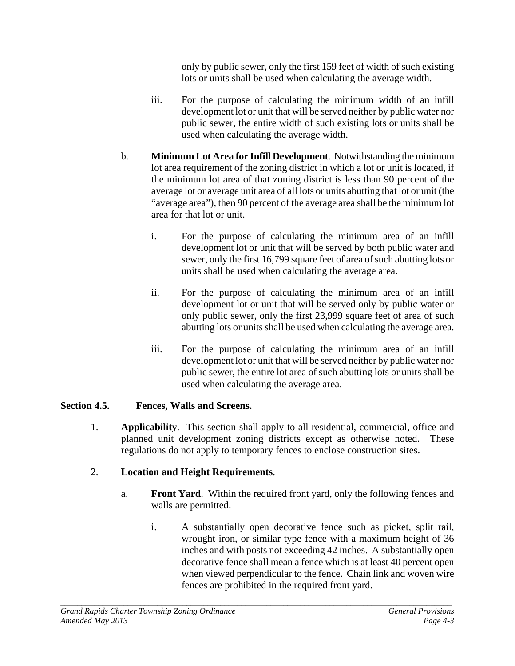only by public sewer, only the first 159 feet of width of such existing lots or units shall be used when calculating the average width.

- iii. For the purpose of calculating the minimum width of an infill development lot or unit that will be served neither by public water nor public sewer, the entire width of such existing lots or units shall be used when calculating the average width.
- b. **Minimum Lot Area for Infill Development**. Notwithstanding the minimum lot area requirement of the zoning district in which a lot or unit is located, if the minimum lot area of that zoning district is less than 90 percent of the average lot or average unit area of all lots or units abutting that lot or unit (the "average area"), then 90 percent of the average area shall be the minimum lot area for that lot or unit.
	- i. For the purpose of calculating the minimum area of an infill development lot or unit that will be served by both public water and sewer, only the first 16,799 square feet of area of such abutting lots or units shall be used when calculating the average area.
	- ii. For the purpose of calculating the minimum area of an infill development lot or unit that will be served only by public water or only public sewer, only the first 23,999 square feet of area of such abutting lots or units shall be used when calculating the average area.
	- iii. For the purpose of calculating the minimum area of an infill development lot or unit that will be served neither by public water nor public sewer, the entire lot area of such abutting lots or units shall be used when calculating the average area.

# **Section 4.5. Fences, Walls and Screens.**

1. **Applicability**. This section shall apply to all residential, commercial, office and planned unit development zoning districts except as otherwise noted. These regulations do not apply to temporary fences to enclose construction sites.

# 2. **Location and Height Requirements**.

- a. **Front Yard**. Within the required front yard, only the following fences and walls are permitted.
	- i. A substantially open decorative fence such as picket, split rail, wrought iron, or similar type fence with a maximum height of 36 inches and with posts not exceeding 42 inches. A substantially open decorative fence shall mean a fence which is at least 40 percent open when viewed perpendicular to the fence. Chain link and woven wire fences are prohibited in the required front yard.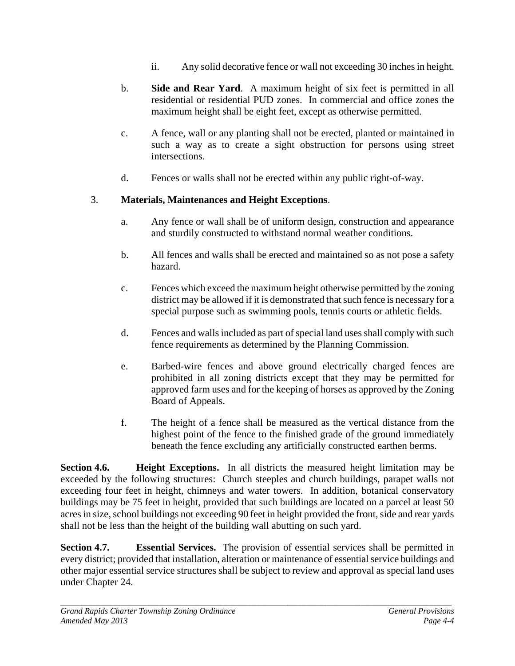- ii. Any solid decorative fence or wall not exceeding 30 inches in height.
- b. **Side and Rear Yard**. A maximum height of six feet is permitted in all residential or residential PUD zones. In commercial and office zones the maximum height shall be eight feet, except as otherwise permitted.
- c. A fence, wall or any planting shall not be erected, planted or maintained in such a way as to create a sight obstruction for persons using street intersections.
- d. Fences or walls shall not be erected within any public right-of-way.

# 3. **Materials, Maintenances and Height Exceptions**.

- a. Any fence or wall shall be of uniform design, construction and appearance and sturdily constructed to withstand normal weather conditions.
- b. All fences and walls shall be erected and maintained so as not pose a safety hazard.
- c. Fences which exceed the maximum height otherwise permitted by the zoning district may be allowed if it is demonstrated that such fence is necessary for a special purpose such as swimming pools, tennis courts or athletic fields.
- d. Fences and walls included as part of special land uses shall comply with such fence requirements as determined by the Planning Commission.
- e. Barbed-wire fences and above ground electrically charged fences are prohibited in all zoning districts except that they may be permitted for approved farm uses and for the keeping of horses as approved by the Zoning Board of Appeals.
- f. The height of a fence shall be measured as the vertical distance from the highest point of the fence to the finished grade of the ground immediately beneath the fence excluding any artificially constructed earthen berms.

**Section 4.6. Height Exceptions.** In all districts the measured height limitation may be exceeded by the following structures: Church steeples and church buildings, parapet walls not exceeding four feet in height, chimneys and water towers. In addition, botanical conservatory buildings may be 75 feet in height, provided that such buildings are located on a parcel at least 50 acres in size, school buildings not exceeding 90 feet in height provided the front, side and rear yards shall not be less than the height of the building wall abutting on such yard.

**Section 4.7. Essential Services.** The provision of essential services shall be permitted in every district; provided that installation, alteration or maintenance of essential service buildings and other major essential service structures shall be subject to review and approval as special land uses under Chapter 24.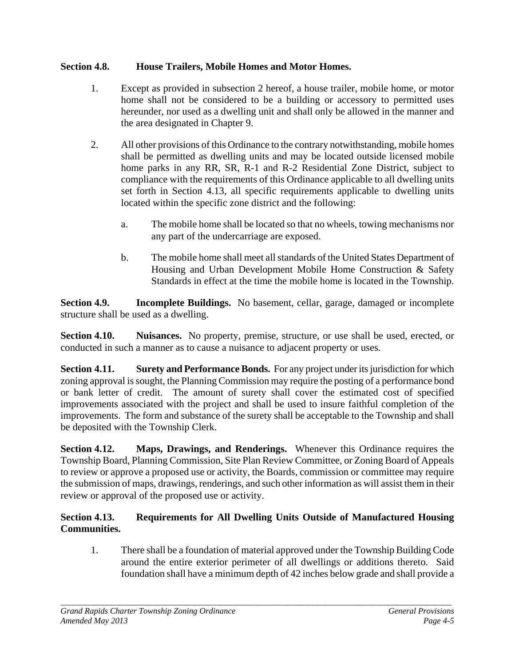### **Section 4.8. House Trailers, Mobile Homes and Motor Homes.**

- 1. Except as provided in subsection 2 hereof, a house trailer, mobile home, or motor home shall not be considered to be a building or accessory to permitted uses hereunder, nor used as a dwelling unit and shall only be allowed in the manner and the area designated in Chapter 9.
- 2. All other provisions of this Ordinance to the contrary notwithstanding, mobile homes shall be permitted as dwelling units and may be located outside licensed mobile home parks in any RR, SR, R-1 and R-2 Residential Zone District, subject to compliance with the requirements of this Ordinance applicable to all dwelling units set forth in Section 4.13, all specific requirements applicable to dwelling units located within the specific zone district and the following:
	- a. The mobile home shall be located so that no wheels, towing mechanisms nor any part of the undercarriage are exposed.
	- b. The mobile home shall meet all standards of the United States Department of Housing and Urban Development Mobile Home Construction & Safety Standards in effect at the time the mobile home is located in the Township.

**Section 4.9. Incomplete Buildings.** No basement, cellar, garage, damaged or incomplete structure shall be used as a dwelling.

**Section 4.10. Nuisances.** No property, premise, structure, or use shall be used, erected, or conducted in such a manner as to cause a nuisance to adjacent property or uses.

**Section 4.11. Surety and Performance Bonds.** For any project under its jurisdiction for which zoning approval is sought, the Planning Commission may require the posting of a performance bond or bank letter of credit. The amount of surety shall cover the estimated cost of specified improvements associated with the project and shall be used to insure faithful completion of the improvements. The form and substance of the surety shall be acceptable to the Township and shall be deposited with the Township Clerk.

**Section 4.12. Maps, Drawings, and Renderings.** Whenever this Ordinance requires the Township Board, Planning Commission, Site Plan Review Committee, or Zoning Board of Appeals to review or approve a proposed use or activity, the Boards, commission or committee may require the submission of maps, drawings, renderings, and such other information as will assist them in their review or approval of the proposed use or activity.

# **Section 4.13. Requirements for All Dwelling Units Outside of Manufactured Housing Communities.**

1. There shall be a foundation of material approved under the Township Building Code around the entire exterior perimeter of all dwellings or additions thereto. Said foundation shall have a minimum depth of 42 inches below grade and shall provide a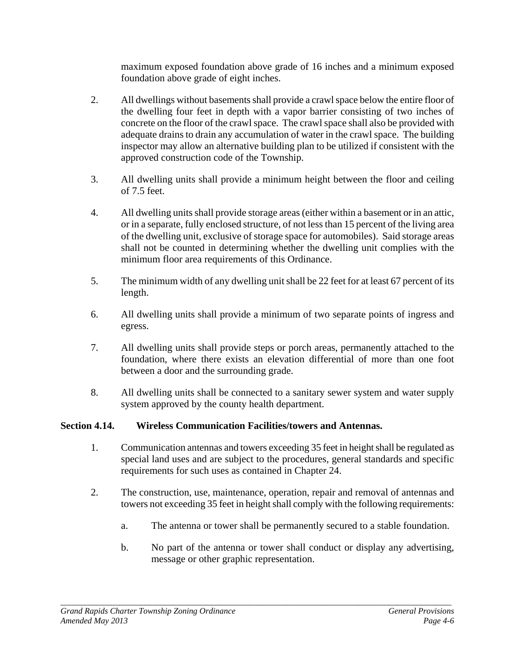maximum exposed foundation above grade of 16 inches and a minimum exposed foundation above grade of eight inches.

- 2. All dwellings without basements shall provide a crawl space below the entire floor of the dwelling four feet in depth with a vapor barrier consisting of two inches of concrete on the floor of the crawl space. The crawl space shall also be provided with adequate drains to drain any accumulation of water in the crawl space. The building inspector may allow an alternative building plan to be utilized if consistent with the approved construction code of the Township.
- 3. All dwelling units shall provide a minimum height between the floor and ceiling of 7.5 feet.
- 4. All dwelling units shall provide storage areas (either within a basement or in an attic, or in a separate, fully enclosed structure, of not less than 15 percent of the living area of the dwelling unit, exclusive of storage space for automobiles). Said storage areas shall not be counted in determining whether the dwelling unit complies with the minimum floor area requirements of this Ordinance.
- 5. The minimum width of any dwelling unit shall be 22 feet for at least 67 percent of its length.
- 6. All dwelling units shall provide a minimum of two separate points of ingress and egress.
- 7. All dwelling units shall provide steps or porch areas, permanently attached to the foundation, where there exists an elevation differential of more than one foot between a door and the surrounding grade.
- 8. All dwelling units shall be connected to a sanitary sewer system and water supply system approved by the county health department.

### **Section 4.14. Wireless Communication Facilities/towers and Antennas.**

- 1. Communication antennas and towers exceeding 35 feet in height shall be regulated as special land uses and are subject to the procedures, general standards and specific requirements for such uses as contained in Chapter 24.
- 2. The construction, use, maintenance, operation, repair and removal of antennas and towers not exceeding 35 feet in height shall comply with the following requirements:
	- a. The antenna or tower shall be permanently secured to a stable foundation.
	- b. No part of the antenna or tower shall conduct or display any advertising, message or other graphic representation.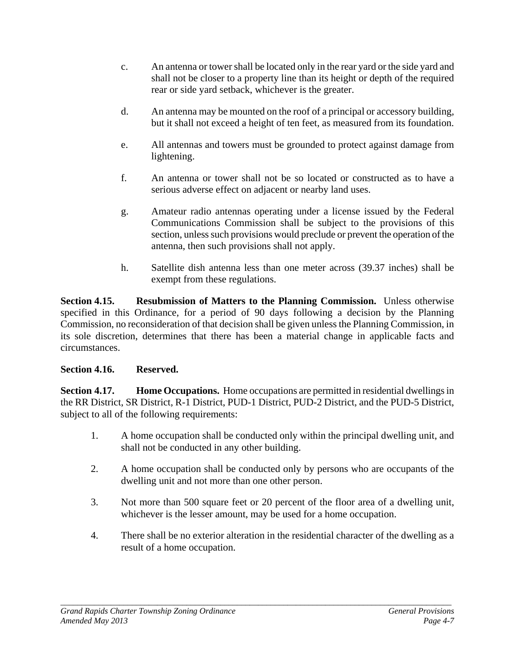- c. An antenna or tower shall be located only in the rear yard or the side yard and shall not be closer to a property line than its height or depth of the required rear or side yard setback, whichever is the greater.
- d. An antenna may be mounted on the roof of a principal or accessory building, but it shall not exceed a height of ten feet, as measured from its foundation.
- e. All antennas and towers must be grounded to protect against damage from lightening.
- f. An antenna or tower shall not be so located or constructed as to have a serious adverse effect on adjacent or nearby land uses.
- g. Amateur radio antennas operating under a license issued by the Federal Communications Commission shall be subject to the provisions of this section, unless such provisions would preclude or prevent the operation of the antenna, then such provisions shall not apply.
- h. Satellite dish antenna less than one meter across (39.37 inches) shall be exempt from these regulations.

**Section 4.15. Resubmission of Matters to the Planning Commission.** Unless otherwise specified in this Ordinance, for a period of 90 days following a decision by the Planning Commission, no reconsideration of that decision shall be given unless the Planning Commission, in its sole discretion, determines that there has been a material change in applicable facts and circumstances.

### **Section 4.16. Reserved.**

**Section 4.17. Home Occupations.** Home occupations are permitted in residential dwellings in the RR District, SR District, R-1 District, PUD-1 District, PUD-2 District, and the PUD-5 District, subject to all of the following requirements:

- 1. A home occupation shall be conducted only within the principal dwelling unit, and shall not be conducted in any other building.
- 2. A home occupation shall be conducted only by persons who are occupants of the dwelling unit and not more than one other person.
- 3. Not more than 500 square feet or 20 percent of the floor area of a dwelling unit, whichever is the lesser amount, may be used for a home occupation.
- 4. There shall be no exterior alteration in the residential character of the dwelling as a result of a home occupation.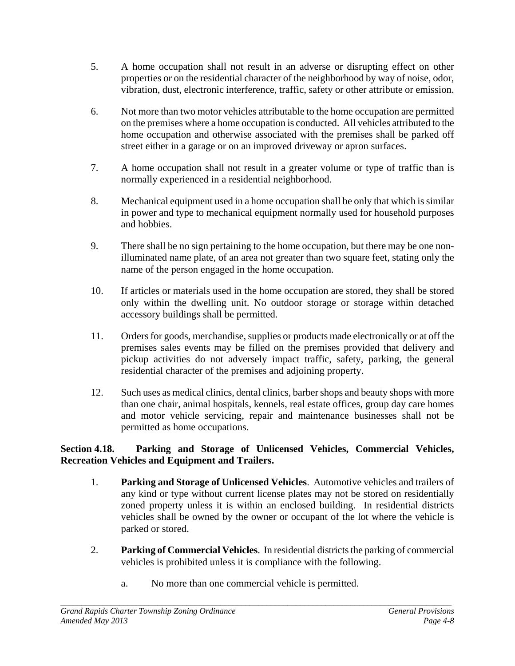- 5. A home occupation shall not result in an adverse or disrupting effect on other properties or on the residential character of the neighborhood by way of noise, odor, vibration, dust, electronic interference, traffic, safety or other attribute or emission.
- 6. Not more than two motor vehicles attributable to the home occupation are permitted on the premises where a home occupation is conducted. All vehicles attributed to the home occupation and otherwise associated with the premises shall be parked off street either in a garage or on an improved driveway or apron surfaces.
- 7. A home occupation shall not result in a greater volume or type of traffic than is normally experienced in a residential neighborhood.
- 8. Mechanical equipment used in a home occupation shall be only that which is similar in power and type to mechanical equipment normally used for household purposes and hobbies.
- 9. There shall be no sign pertaining to the home occupation, but there may be one nonilluminated name plate, of an area not greater than two square feet, stating only the name of the person engaged in the home occupation.
- 10. If articles or materials used in the home occupation are stored, they shall be stored only within the dwelling unit. No outdoor storage or storage within detached accessory buildings shall be permitted.
- 11. Orders for goods, merchandise, supplies or products made electronically or at off the premises sales events may be filled on the premises provided that delivery and pickup activities do not adversely impact traffic, safety, parking, the general residential character of the premises and adjoining property.
- 12. Such uses as medical clinics, dental clinics, barber shops and beauty shops with more than one chair, animal hospitals, kennels, real estate offices, group day care homes and motor vehicle servicing, repair and maintenance businesses shall not be permitted as home occupations.

### **Section 4.18. Parking and Storage of Unlicensed Vehicles, Commercial Vehicles, Recreation Vehicles and Equipment and Trailers.**

- 1. **Parking and Storage of Unlicensed Vehicles**. Automotive vehicles and trailers of any kind or type without current license plates may not be stored on residentially zoned property unless it is within an enclosed building. In residential districts vehicles shall be owned by the owner or occupant of the lot where the vehicle is parked or stored.
- 2. **Parking of Commercial Vehicles**. In residential districts the parking of commercial vehicles is prohibited unless it is compliance with the following.
	- a. No more than one commercial vehicle is permitted.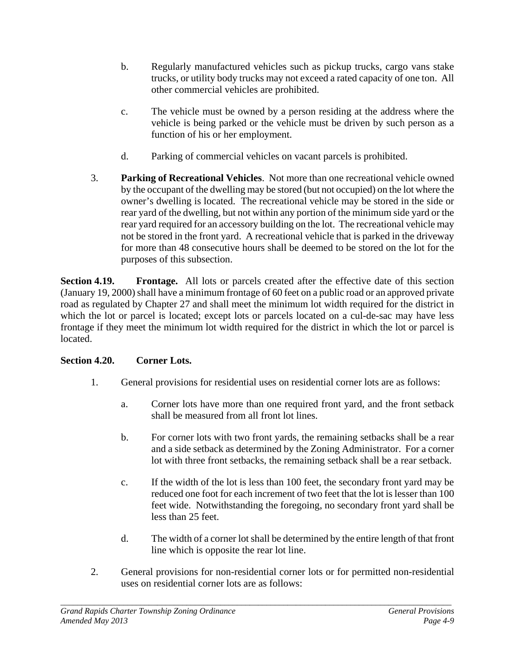- b. Regularly manufactured vehicles such as pickup trucks, cargo vans stake trucks, or utility body trucks may not exceed a rated capacity of one ton. All other commercial vehicles are prohibited.
- c. The vehicle must be owned by a person residing at the address where the vehicle is being parked or the vehicle must be driven by such person as a function of his or her employment.
- d. Parking of commercial vehicles on vacant parcels is prohibited.
- 3. **Parking of Recreational Vehicles**. Not more than one recreational vehicle owned by the occupant of the dwelling may be stored (but not occupied) on the lot where the owner's dwelling is located. The recreational vehicle may be stored in the side or rear yard of the dwelling, but not within any portion of the minimum side yard or the rear yard required for an accessory building on the lot. The recreational vehicle may not be stored in the front yard. A recreational vehicle that is parked in the driveway for more than 48 consecutive hours shall be deemed to be stored on the lot for the purposes of this subsection.

**Section 4.19. Frontage.** All lots or parcels created after the effective date of this section (January 19, 2000) shall have a minimum frontage of 60 feet on a public road or an approved private road as regulated by Chapter 27 and shall meet the minimum lot width required for the district in which the lot or parcel is located; except lots or parcels located on a cul-de-sac may have less frontage if they meet the minimum lot width required for the district in which the lot or parcel is located.

# **Section 4.20. Corner Lots.**

- 1. General provisions for residential uses on residential corner lots are as follows:
	- a. Corner lots have more than one required front yard, and the front setback shall be measured from all front lot lines.
	- b. For corner lots with two front yards, the remaining setbacks shall be a rear and a side setback as determined by the Zoning Administrator. For a corner lot with three front setbacks, the remaining setback shall be a rear setback.
	- c. If the width of the lot is less than 100 feet, the secondary front yard may be reduced one foot for each increment of two feet that the lot is lesser than 100 feet wide. Notwithstanding the foregoing, no secondary front yard shall be less than 25 feet.
	- d. The width of a corner lot shall be determined by the entire length of that front line which is opposite the rear lot line.
- 2. General provisions for non-residential corner lots or for permitted non-residential uses on residential corner lots are as follows: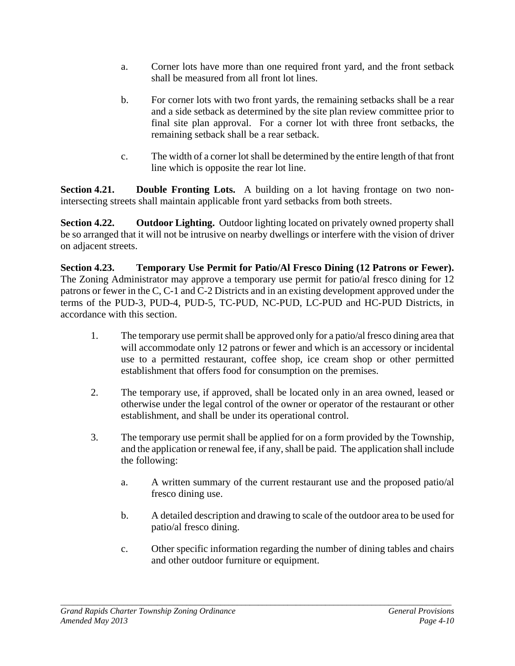- a. Corner lots have more than one required front yard, and the front setback shall be measured from all front lot lines.
- b. For corner lots with two front yards, the remaining setbacks shall be a rear and a side setback as determined by the site plan review committee prior to final site plan approval. For a corner lot with three front setbacks, the remaining setback shall be a rear setback.
- c. The width of a corner lot shall be determined by the entire length of that front line which is opposite the rear lot line.

**Section 4.21. Double Fronting Lots.** A building on a lot having frontage on two nonintersecting streets shall maintain applicable front yard setbacks from both streets.

**Section 4.22. Outdoor Lighting.** Outdoor lighting located on privately owned property shall be so arranged that it will not be intrusive on nearby dwellings or interfere with the vision of driver on adjacent streets.

**Section 4.23. Temporary Use Permit for Patio/Al Fresco Dining (12 Patrons or Fewer).** The Zoning Administrator may approve a temporary use permit for patio/al fresco dining for 12 patrons or fewer in the C, C-1 and C-2 Districts and in an existing development approved under the terms of the PUD-3, PUD-4, PUD-5, TC-PUD, NC-PUD, LC-PUD and HC-PUD Districts, in accordance with this section.

- 1. The temporary use permit shall be approved only for a patio/al fresco dining area that will accommodate only 12 patrons or fewer and which is an accessory or incidental use to a permitted restaurant, coffee shop, ice cream shop or other permitted establishment that offers food for consumption on the premises.
- 2. The temporary use, if approved, shall be located only in an area owned, leased or otherwise under the legal control of the owner or operator of the restaurant or other establishment, and shall be under its operational control.
- 3. The temporary use permit shall be applied for on a form provided by the Township, and the application or renewal fee, if any, shall be paid. The application shall include the following:
	- a. A written summary of the current restaurant use and the proposed patio/al fresco dining use.
	- b. A detailed description and drawing to scale of the outdoor area to be used for patio/al fresco dining.
	- c. Other specific information regarding the number of dining tables and chairs and other outdoor furniture or equipment.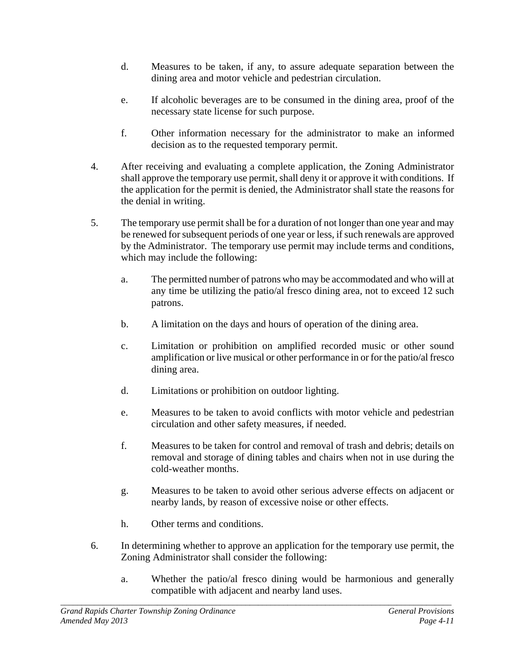- d. Measures to be taken, if any, to assure adequate separation between the dining area and motor vehicle and pedestrian circulation.
- e. If alcoholic beverages are to be consumed in the dining area, proof of the necessary state license for such purpose.
- f. Other information necessary for the administrator to make an informed decision as to the requested temporary permit.
- 4. After receiving and evaluating a complete application, the Zoning Administrator shall approve the temporary use permit, shall deny it or approve it with conditions. If the application for the permit is denied, the Administrator shall state the reasons for the denial in writing.
- 5. The temporary use permit shall be for a duration of not longer than one year and may be renewed for subsequent periods of one year or less, if such renewals are approved by the Administrator. The temporary use permit may include terms and conditions, which may include the following:
	- a. The permitted number of patrons who may be accommodated and who will at any time be utilizing the patio/al fresco dining area, not to exceed 12 such patrons.
	- b. A limitation on the days and hours of operation of the dining area.
	- c. Limitation or prohibition on amplified recorded music or other sound amplification or live musical or other performance in or for the patio/al fresco dining area.
	- d. Limitations or prohibition on outdoor lighting.
	- e. Measures to be taken to avoid conflicts with motor vehicle and pedestrian circulation and other safety measures, if needed.
	- f. Measures to be taken for control and removal of trash and debris; details on removal and storage of dining tables and chairs when not in use during the cold-weather months.
	- g. Measures to be taken to avoid other serious adverse effects on adjacent or nearby lands, by reason of excessive noise or other effects.
	- h. Other terms and conditions.
- 6. In determining whether to approve an application for the temporary use permit, the Zoning Administrator shall consider the following:

*\_\_\_\_\_\_\_\_\_\_\_\_\_\_\_\_\_\_\_\_\_\_\_\_\_\_\_\_\_\_\_\_\_\_\_\_\_\_\_\_\_\_\_\_\_\_\_\_\_\_\_\_\_\_\_\_\_\_\_\_\_\_\_\_\_\_\_\_\_\_\_\_\_\_\_\_\_\_\_\_\_\_\_\_\_\_\_\_\_\_\_\_\_* 

a. Whether the patio/al fresco dining would be harmonious and generally compatible with adjacent and nearby land uses.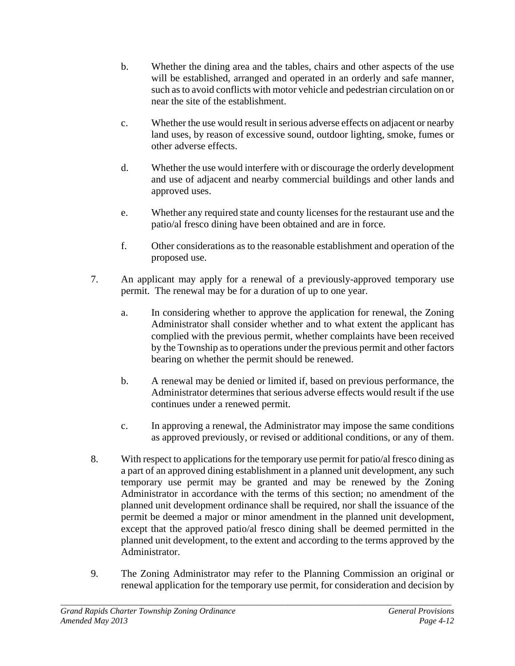- b. Whether the dining area and the tables, chairs and other aspects of the use will be established, arranged and operated in an orderly and safe manner, such as to avoid conflicts with motor vehicle and pedestrian circulation on or near the site of the establishment.
- c. Whether the use would result in serious adverse effects on adjacent or nearby land uses, by reason of excessive sound, outdoor lighting, smoke, fumes or other adverse effects.
- d. Whether the use would interfere with or discourage the orderly development and use of adjacent and nearby commercial buildings and other lands and approved uses.
- e. Whether any required state and county licenses for the restaurant use and the patio/al fresco dining have been obtained and are in force.
- f. Other considerations as to the reasonable establishment and operation of the proposed use.
- 7. An applicant may apply for a renewal of a previously-approved temporary use permit. The renewal may be for a duration of up to one year.
	- a. In considering whether to approve the application for renewal, the Zoning Administrator shall consider whether and to what extent the applicant has complied with the previous permit, whether complaints have been received by the Township as to operations under the previous permit and other factors bearing on whether the permit should be renewed.
	- b. A renewal may be denied or limited if, based on previous performance, the Administrator determines that serious adverse effects would result if the use continues under a renewed permit.
	- c. In approving a renewal, the Administrator may impose the same conditions as approved previously, or revised or additional conditions, or any of them.
- 8. With respect to applications for the temporary use permit for patio/al fresco dining as a part of an approved dining establishment in a planned unit development, any such temporary use permit may be granted and may be renewed by the Zoning Administrator in accordance with the terms of this section; no amendment of the planned unit development ordinance shall be required, nor shall the issuance of the permit be deemed a major or minor amendment in the planned unit development, except that the approved patio/al fresco dining shall be deemed permitted in the planned unit development, to the extent and according to the terms approved by the Administrator.
- 9. The Zoning Administrator may refer to the Planning Commission an original or renewal application for the temporary use permit, for consideration and decision by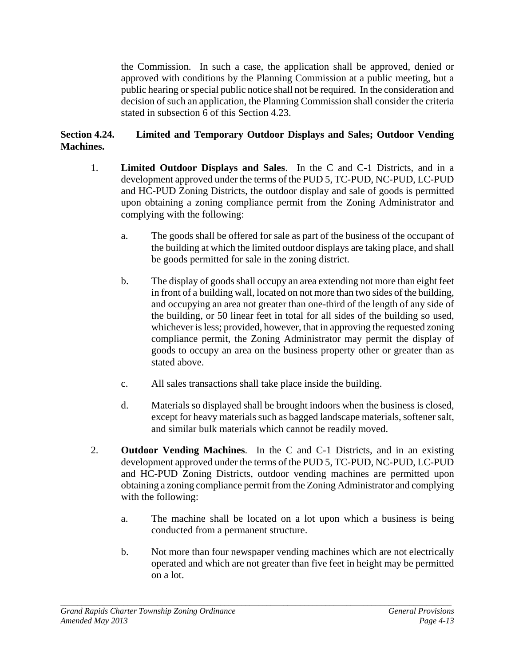the Commission. In such a case, the application shall be approved, denied or approved with conditions by the Planning Commission at a public meeting, but a public hearing or special public notice shall not be required. In the consideration and decision of such an application, the Planning Commission shall consider the criteria stated in subsection 6 of this Section 4.23.

### **Section 4.24. Limited and Temporary Outdoor Displays and Sales; Outdoor Vending Machines.**

- 1. **Limited Outdoor Displays and Sales**. In the C and C-1 Districts, and in a development approved under the terms of the PUD 5, TC-PUD, NC-PUD, LC-PUD and HC-PUD Zoning Districts, the outdoor display and sale of goods is permitted upon obtaining a zoning compliance permit from the Zoning Administrator and complying with the following:
	- a. The goods shall be offered for sale as part of the business of the occupant of the building at which the limited outdoor displays are taking place, and shall be goods permitted for sale in the zoning district.
	- b. The display of goods shall occupy an area extending not more than eight feet in front of a building wall, located on not more than two sides of the building, and occupying an area not greater than one-third of the length of any side of the building, or 50 linear feet in total for all sides of the building so used, whichever is less; provided, however, that in approving the requested zoning compliance permit, the Zoning Administrator may permit the display of goods to occupy an area on the business property other or greater than as stated above.
	- c. All sales transactions shall take place inside the building.
	- d. Materials so displayed shall be brought indoors when the business is closed, except for heavy materials such as bagged landscape materials, softener salt, and similar bulk materials which cannot be readily moved.
- 2. **Outdoor Vending Machines**. In the C and C-1 Districts, and in an existing development approved under the terms of the PUD 5, TC-PUD, NC-PUD, LC-PUD and HC-PUD Zoning Districts, outdoor vending machines are permitted upon obtaining a zoning compliance permit from the Zoning Administrator and complying with the following:
	- a. The machine shall be located on a lot upon which a business is being conducted from a permanent structure.
	- b. Not more than four newspaper vending machines which are not electrically operated and which are not greater than five feet in height may be permitted on a lot.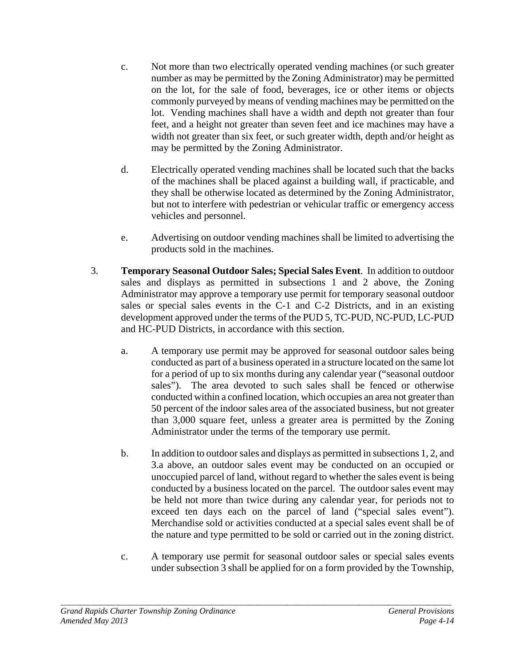- c. Not more than two electrically operated vending machines (or such greater number as may be permitted by the Zoning Administrator) may be permitted on the lot, for the sale of food, beverages, ice or other items or objects commonly purveyed by means of vending machines may be permitted on the lot. Vending machines shall have a width and depth not greater than four feet, and a height not greater than seven feet and ice machines may have a width not greater than six feet, or such greater width, depth and/or height as may be permitted by the Zoning Administrator.
- d. Electrically operated vending machines shall be located such that the backs of the machines shall be placed against a building wall, if practicable, and they shall be otherwise located as determined by the Zoning Administrator, but not to interfere with pedestrian or vehicular traffic or emergency access vehicles and personnel.
- e. Advertising on outdoor vending machines shall be limited to advertising the products sold in the machines.
- 3. **Temporary Seasonal Outdoor Sales; Special Sales Event**. In addition to outdoor sales and displays as permitted in subsections 1 and 2 above, the Zoning Administrator may approve a temporary use permit for temporary seasonal outdoor sales or special sales events in the C-1 and C-2 Districts, and in an existing development approved under the terms of the PUD 5, TC-PUD, NC-PUD, LC-PUD and HC-PUD Districts, in accordance with this section.
	- a. A temporary use permit may be approved for seasonal outdoor sales being conducted as part of a business operated in a structure located on the same lot for a period of up to six months during any calendar year ("seasonal outdoor sales"). The area devoted to such sales shall be fenced or otherwise conducted within a confined location, which occupies an area not greater than 50 percent of the indoor sales area of the associated business, but not greater than 3,000 square feet, unless a greater area is permitted by the Zoning Administrator under the terms of the temporary use permit.
	- b. In addition to outdoor sales and displays as permitted in subsections 1, 2, and 3.a above, an outdoor sales event may be conducted on an occupied or unoccupied parcel of land, without regard to whether the sales event is being conducted by a business located on the parcel. The outdoor sales event may be held not more than twice during any calendar year, for periods not to exceed ten days each on the parcel of land ("special sales event"). Merchandise sold or activities conducted at a special sales event shall be of the nature and type permitted to be sold or carried out in the zoning district.
	- c. A temporary use permit for seasonal outdoor sales or special sales events under subsection 3 shall be applied for on a form provided by the Township,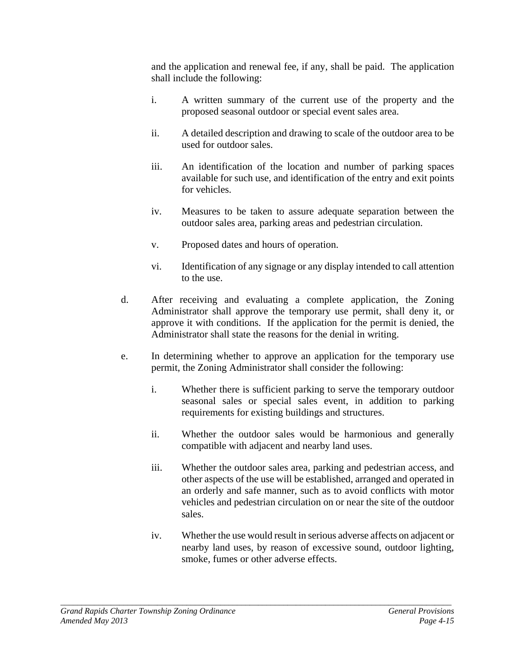and the application and renewal fee, if any, shall be paid. The application shall include the following:

- i. A written summary of the current use of the property and the proposed seasonal outdoor or special event sales area.
- ii. A detailed description and drawing to scale of the outdoor area to be used for outdoor sales.
- iii. An identification of the location and number of parking spaces available for such use, and identification of the entry and exit points for vehicles.
- iv. Measures to be taken to assure adequate separation between the outdoor sales area, parking areas and pedestrian circulation.
- v. Proposed dates and hours of operation.
- vi. Identification of any signage or any display intended to call attention to the use.
- d. After receiving and evaluating a complete application, the Zoning Administrator shall approve the temporary use permit, shall deny it, or approve it with conditions. If the application for the permit is denied, the Administrator shall state the reasons for the denial in writing.
- e. In determining whether to approve an application for the temporary use permit, the Zoning Administrator shall consider the following:
	- i. Whether there is sufficient parking to serve the temporary outdoor seasonal sales or special sales event, in addition to parking requirements for existing buildings and structures.
	- ii. Whether the outdoor sales would be harmonious and generally compatible with adjacent and nearby land uses.
	- iii. Whether the outdoor sales area, parking and pedestrian access, and other aspects of the use will be established, arranged and operated in an orderly and safe manner, such as to avoid conflicts with motor vehicles and pedestrian circulation on or near the site of the outdoor sales.
	- iv. Whether the use would result in serious adverse affects on adjacent or nearby land uses, by reason of excessive sound, outdoor lighting, smoke, fumes or other adverse effects.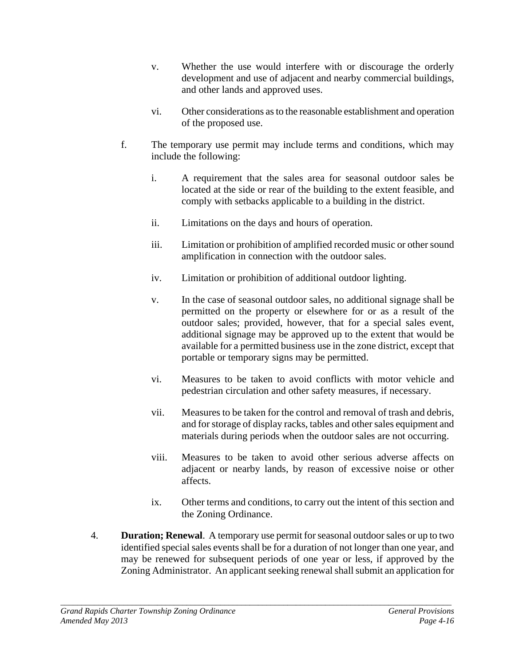- v. Whether the use would interfere with or discourage the orderly development and use of adjacent and nearby commercial buildings, and other lands and approved uses.
- vi. Other considerations as to the reasonable establishment and operation of the proposed use.
- f. The temporary use permit may include terms and conditions, which may include the following:
	- i. A requirement that the sales area for seasonal outdoor sales be located at the side or rear of the building to the extent feasible, and comply with setbacks applicable to a building in the district.
	- ii. Limitations on the days and hours of operation.
	- iii. Limitation or prohibition of amplified recorded music or other sound amplification in connection with the outdoor sales.
	- iv. Limitation or prohibition of additional outdoor lighting.
	- v. In the case of seasonal outdoor sales, no additional signage shall be permitted on the property or elsewhere for or as a result of the outdoor sales; provided, however, that for a special sales event, additional signage may be approved up to the extent that would be available for a permitted business use in the zone district, except that portable or temporary signs may be permitted.
	- vi. Measures to be taken to avoid conflicts with motor vehicle and pedestrian circulation and other safety measures, if necessary.
	- vii. Measures to be taken for the control and removal of trash and debris, and for storage of display racks, tables and other sales equipment and materials during periods when the outdoor sales are not occurring.
	- viii. Measures to be taken to avoid other serious adverse affects on adjacent or nearby lands, by reason of excessive noise or other affects.
	- ix. Other terms and conditions, to carry out the intent of this section and the Zoning Ordinance.
- 4. **Duration; Renewal**. A temporary use permit for seasonal outdoor sales or up to two identified special sales events shall be for a duration of not longer than one year, and may be renewed for subsequent periods of one year or less, if approved by the Zoning Administrator. An applicant seeking renewal shall submit an application for